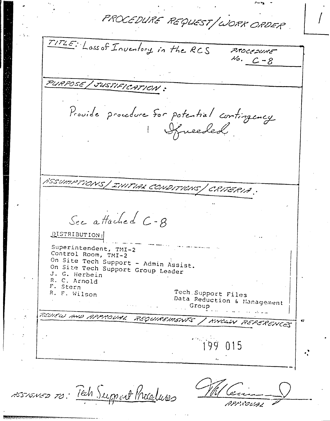PROCEDURE REQUEST/WORK ORDER

TITLE: Loss of Inventory in the RCS P.TOCCDURE  $16. C - 8$ PURPOSE / JUSTIFICATION: Provide procedure for potential contingency Ifneeded. HSSUMPTIONS | INITIAL CONDITIONS | CRITERIA. See attached C-8 DISTRIBUTION: Superintendent, TMI-2 Control Room, TMI-2 On Site Tech Support - Admin Assist. On Site Tech Support Group Leader J. G. Herbein R. C. Arnold F. Stern Tech Support Files R. F. Wilson Data Reduction & Management Group REVIEW AND APPROVAL REQUIRSMENTS / KNOWN REFERENCES  $\mathbf{r}$  $\ddot{q}$   $\ddot{q}$  $015$ 

ASSIONED TO: Tech Support Procelures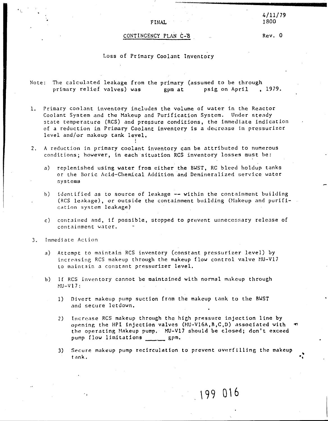## FINAL

## CONTINGENCY PLAN *t~8*

Rev. 0

### Loss of Primary Coolant Inventory

Note: The calculated leakage from the primary (assumed to be through<br>primary relief valves) was a primat psig on April , 1979. primary relief valves) was gpm at

- 1. Primary coolant inventory includes the volume of water in the Reactor Coolant System and the Makeup and Purification System. Under steady state temperature (RCS) and pressure conditions, the immediate indication of a reduction in Primary Coolant inventory is a decrease in pressurizer level and/or makeup tank level. I
- 2. A reduction in primary coolant inventory can be attributed to numerous conditions; however, in each situation ReS inventory losses must be:

,

- a) replenished using water from either the BWST, RC bleed holdup tanks or the Boric Acid-Chemical Addition and Demineralized service water systems
- b) identified as to source of leakage -- within the containment building (RCS leakage), or outside the containment building (Makeup and purification system leakage)
- c) contained and, if possible, stopped to prevent unnecessary release of containment water.
- 3. Immediate Action

..'.

- a) Attempt to maintain RCS inventory (constant pressurizer level) by increasing RCS makeup through the makeup flow control valve MU-V17 to maintain a constant pressurizer level.
- b) If ReS inventory cannot be maintained with normal makeup through  $MU-V17:$ 
	- 1) Divert makeup pump suction from the makeup tank to the BWST and secure letdown.
	- 2) Increase RCS makeup through the high pressure injection line by opening the HPI injection valves  $(HU-V16A, B, C, D)$  associated with the operating Makeup pump. MU-V17 should be closed; don't exceed pump flow limitations gpm.
	- 3) Secure makeup pump recirculation to prevent overfilling the makeup tank.

**\99 0'6**

"**.,**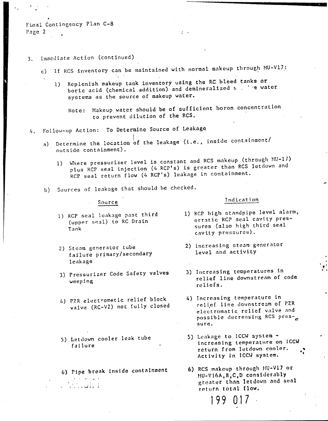Final Contingency Plan C-8 Page 2

## 3. Immediate Action (continued)

- c) If RCS inventory can be maintained with normal makeup through MU-V17:
	- 1) Replenish makeup tank inventory using the RC bleed tanks or boric acid (chemical addition) and demineralized s . 'e water systems as the source of makeup water.

Note: Makeup water should be of sufficient boron concentration to prevent dilution of the RCS.

- Follow-up Action: To Determine Source of Leakage  $4.1$ 
	- Determine the location of the leakage (i.e., inside containment/  $a)$ outside containment).
		- 1) Where pressurizer level is constant and RCS makeup (through MU-17) plus RCP seal injection (4 RCP's) is greater than RCS letdown and RCP seal return flow (4 RCP's) leakage in containment.
	- b) Sources of leakage that should be checked.

#### Source

- 1) RCP seal leakage past third (upper seal) to RC Drain Tank
- 2) Steam generator tube failure primary/secondary leakage
- 3) Pressurizer Code Safety valves weeping
- 4) PZR electrometic relief block valve (RC-V2) not fully closed
- 5) Letdown cooler leak tube failure

 $\sim$  .  $\sim$  .  $\sim$  .

6) Pipe break inside containment

## Indication

- 1) RCP high standpipe level alarm, erratic RCP seal cavity pressures (also high third seal cavity pressures).
- 2) increasing steam generator level and activity
- 3) Increasing temperatures in relief line downstream of code reliefs.
- 4) Increasing temperature in relief line downstream of PZR electromatic relief valve and possible decreasing RCS pressure.
- 5) Leakage to ICCW system increasing temperature on ICCW return from letdown cooler. Activity in ICCW system.
- 6) RCS makeup through MU-V17 or MU-V16A, B, C, D considerably greater than letdown and seal return total flow.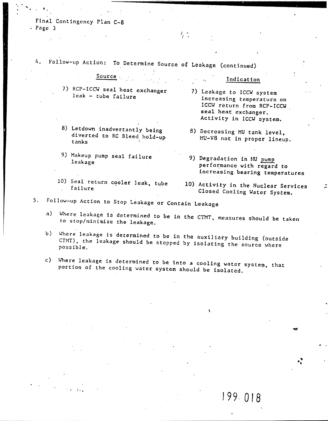Final Contingency Plan C-8  $-$  Page  $3$ 

Follow-up Action: To Determine Source of Leakage (continued) 4.

|                     |  | 7) RCP-ICCW seal heat exchanger |
|---------------------|--|---------------------------------|
| leak - tube failure |  |                                 |

Source

- 8) Letdown inadvertantly being diverted to RC Bleed hold-up tanks
- 9) Makeup pump seal failure leakage
- 10) Seal return cooler leak, tube failure

7) Leakage to ICCW system increasing temperature on ICCW réturn from RCP+ICCW seal heat exchanger. Activity in ICCW system.

Indication

- 8) Decreasing MU tank level, MU-V8 not in proper lineup.
- 9) Degradation in MU pump performance with regard to increasing bearing temperatures
- 10) Activity in the Nuclear Services Closed Cooling Water System.

199.018

- Follow-up Action to Stop Leakage or Contain Leakage  $5.$ 
	- Where leakage is determined to be in the CTMT, measures should be taken  $a)$ to stop/minimize the leakage.
	- b) Where leakage is determined to be in the auxiliary building (outside CTMT), the leakage should be stopped by isolating the source where possible.
	- c) Where leakage is determined to be into a cooling water system, that portion of the cooling water system should be isolated.